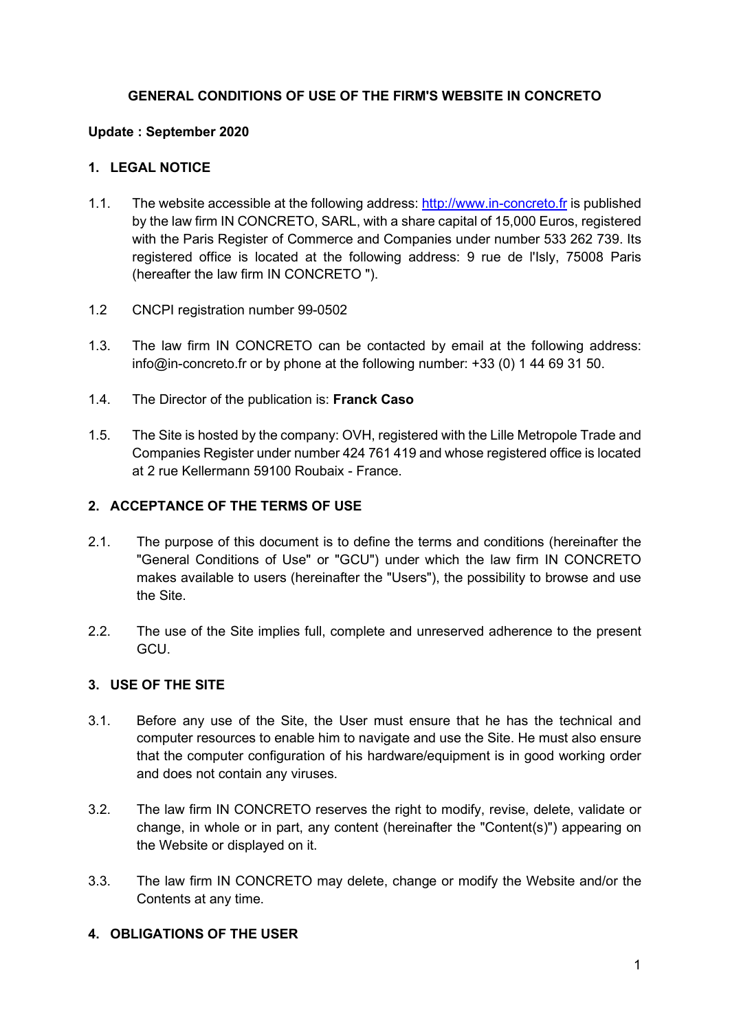### **GENERAL CONDITIONS OF USE OF THE FIRM'S WEBSITE IN CONCRETO**

### **Update : September 2020**

### **1. LEGAL NOTICE**

- 1.1. The website accessible at the following address: [http://www.in-concreto.fr](http://www.in-concreto.fr/) is published by the law firm IN CONCRETO, SARL, with a share capital of 15,000 Euros, registered with the Paris Register of Commerce and Companies under number 533 262 739. Its registered office is located at the following address: 9 rue de l'Isly, 75008 Paris (hereafter the law firm IN CONCRETO ").
- 1.2 CNCPI registration number 99-0502
- 1.3. The law firm IN CONCRETO can be contacted by email at the following address: info@in-concreto.fr or by phone at the following number: +33 (0) 1 44 69 31 50.
- 1.4. The Director of the publication is: **Franck Caso**
- 1.5. The Site is hosted by the company: OVH, registered with the Lille Metropole Trade and Companies Register under number 424 761 419 and whose registered office is located at 2 rue Kellermann 59100 Roubaix - France.

#### **2. ACCEPTANCE OF THE TERMS OF USE**

- 2.1. The purpose of this document is to define the terms and conditions (hereinafter the "General Conditions of Use" or "GCU") under which the law firm IN CONCRETO makes available to users (hereinafter the "Users"), the possibility to browse and use the Site.
- 2.2. The use of the Site implies full, complete and unreserved adherence to the present GCU.

### **3. USE OF THE SITE**

- 3.1. Before any use of the Site, the User must ensure that he has the technical and computer resources to enable him to navigate and use the Site. He must also ensure that the computer configuration of his hardware/equipment is in good working order and does not contain any viruses.
- 3.2. The law firm IN CONCRETO reserves the right to modify, revise, delete, validate or change, in whole or in part, any content (hereinafter the "Content(s)") appearing on the Website or displayed on it.
- 3.3. The law firm IN CONCRETO may delete, change or modify the Website and/or the Contents at any time.

### **4. OBLIGATIONS OF THE USER**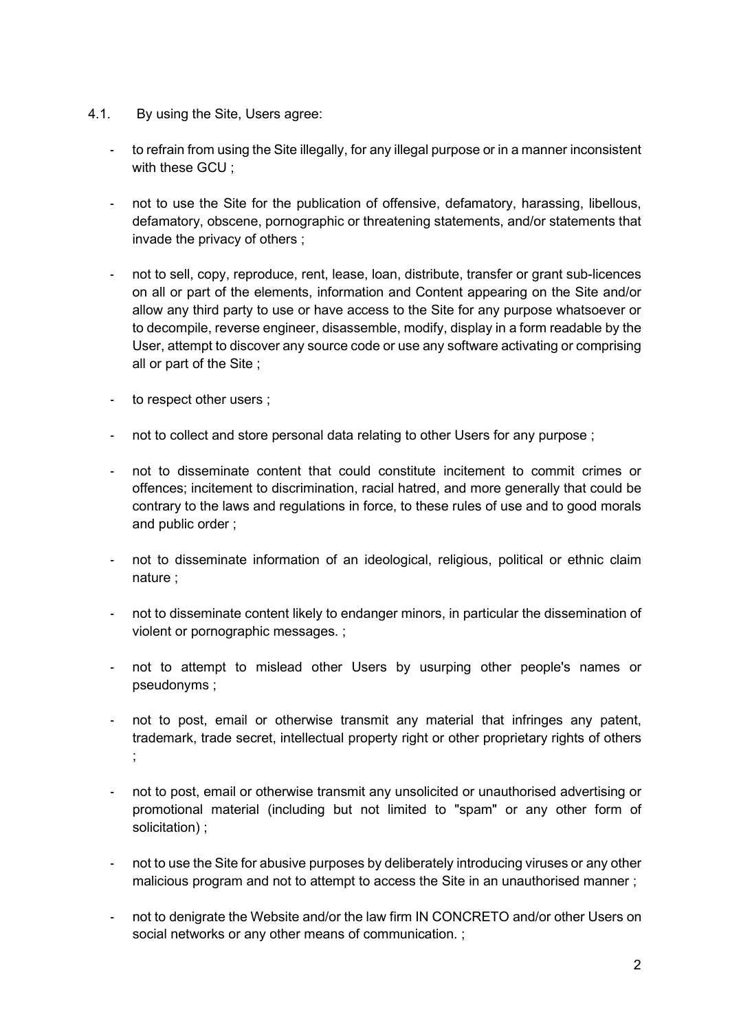- 4.1. By using the Site, Users agree:
	- to refrain from using the Site illegally, for any illegal purpose or in a manner inconsistent with these GCU :
	- not to use the Site for the publication of offensive, defamatory, harassing, libellous, defamatory, obscene, pornographic or threatening statements, and/or statements that invade the privacy of others ;
	- not to sell, copy, reproduce, rent, lease, loan, distribute, transfer or grant sub-licences on all or part of the elements, information and Content appearing on the Site and/or allow any third party to use or have access to the Site for any purpose whatsoever or to decompile, reverse engineer, disassemble, modify, display in a form readable by the User, attempt to discover any source code or use any software activating or comprising all or part of the Site ;
	- to respect other users ;
	- not to collect and store personal data relating to other Users for any purpose;
	- not to disseminate content that could constitute incitement to commit crimes or offences; incitement to discrimination, racial hatred, and more generally that could be contrary to the laws and regulations in force, to these rules of use and to good morals and public order ;
	- not to disseminate information of an ideological, religious, political or ethnic claim nature ;
	- not to disseminate content likely to endanger minors, in particular the dissemination of violent or pornographic messages. ;
	- not to attempt to mislead other Users by usurping other people's names or pseudonyms ;
	- not to post, email or otherwise transmit any material that infringes any patent, trademark, trade secret, intellectual property right or other proprietary rights of others ;
	- not to post, email or otherwise transmit any unsolicited or unauthorised advertising or promotional material (including but not limited to "spam" or any other form of solicitation) ;
	- not to use the Site for abusive purposes by deliberately introducing viruses or any other malicious program and not to attempt to access the Site in an unauthorised manner ;
	- not to denigrate the Website and/or the law firm IN CONCRETO and/or other Users on social networks or any other means of communication. ;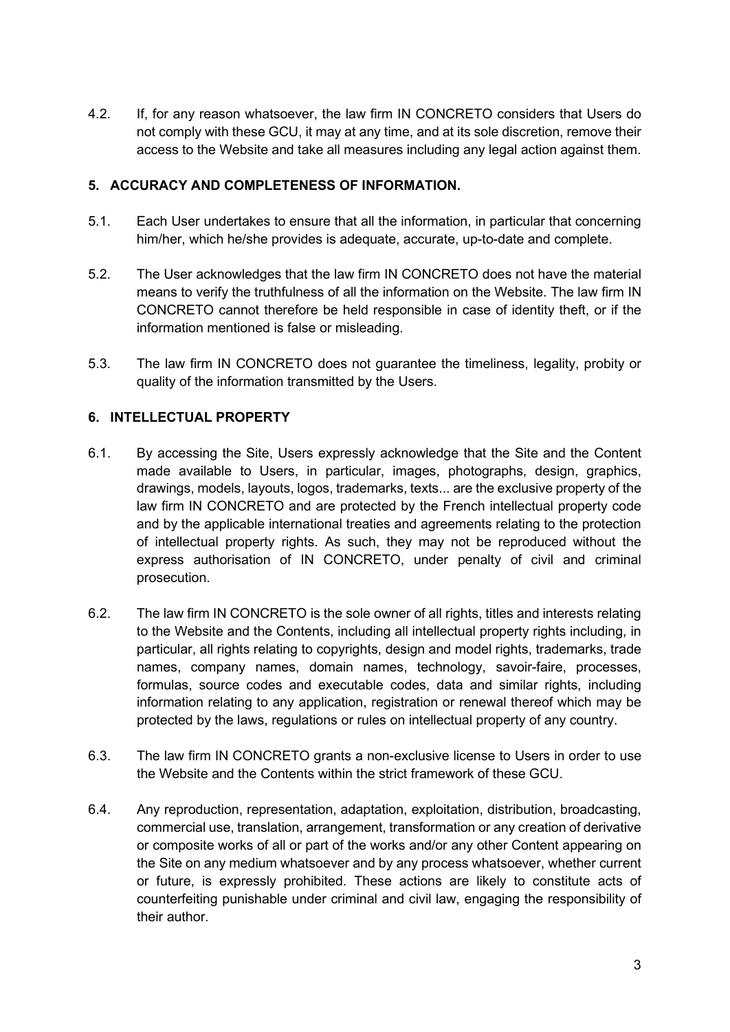4.2. If, for any reason whatsoever, the law firm IN CONCRETO considers that Users do not comply with these GCU, it may at any time, and at its sole discretion, remove their access to the Website and take all measures including any legal action against them.

### **5. ACCURACY AND COMPLETENESS OF INFORMATION.**

- 5.1. Each User undertakes to ensure that all the information, in particular that concerning him/her, which he/she provides is adequate, accurate, up-to-date and complete.
- 5.2. The User acknowledges that the law firm IN CONCRETO does not have the material means to verify the truthfulness of all the information on the Website. The law firm IN CONCRETO cannot therefore be held responsible in case of identity theft, or if the information mentioned is false or misleading.
- 5.3. The law firm IN CONCRETO does not guarantee the timeliness, legality, probity or quality of the information transmitted by the Users.

### **6. INTELLECTUAL PROPERTY**

- 6.1. By accessing the Site, Users expressly acknowledge that the Site and the Content made available to Users, in particular, images, photographs, design, graphics, drawings, models, layouts, logos, trademarks, texts... are the exclusive property of the law firm IN CONCRETO and are protected by the French intellectual property code and by the applicable international treaties and agreements relating to the protection of intellectual property rights. As such, they may not be reproduced without the express authorisation of IN CONCRETO, under penalty of civil and criminal prosecution.
- 6.2. The law firm IN CONCRETO is the sole owner of all rights, titles and interests relating to the Website and the Contents, including all intellectual property rights including, in particular, all rights relating to copyrights, design and model rights, trademarks, trade names, company names, domain names, technology, savoir-faire, processes, formulas, source codes and executable codes, data and similar rights, including information relating to any application, registration or renewal thereof which may be protected by the laws, regulations or rules on intellectual property of any country.
- 6.3. The law firm IN CONCRETO grants a non-exclusive license to Users in order to use the Website and the Contents within the strict framework of these GCU.
- 6.4. Any reproduction, representation, adaptation, exploitation, distribution, broadcasting, commercial use, translation, arrangement, transformation or any creation of derivative or composite works of all or part of the works and/or any other Content appearing on the Site on any medium whatsoever and by any process whatsoever, whether current or future, is expressly prohibited. These actions are likely to constitute acts of counterfeiting punishable under criminal and civil law, engaging the responsibility of their author.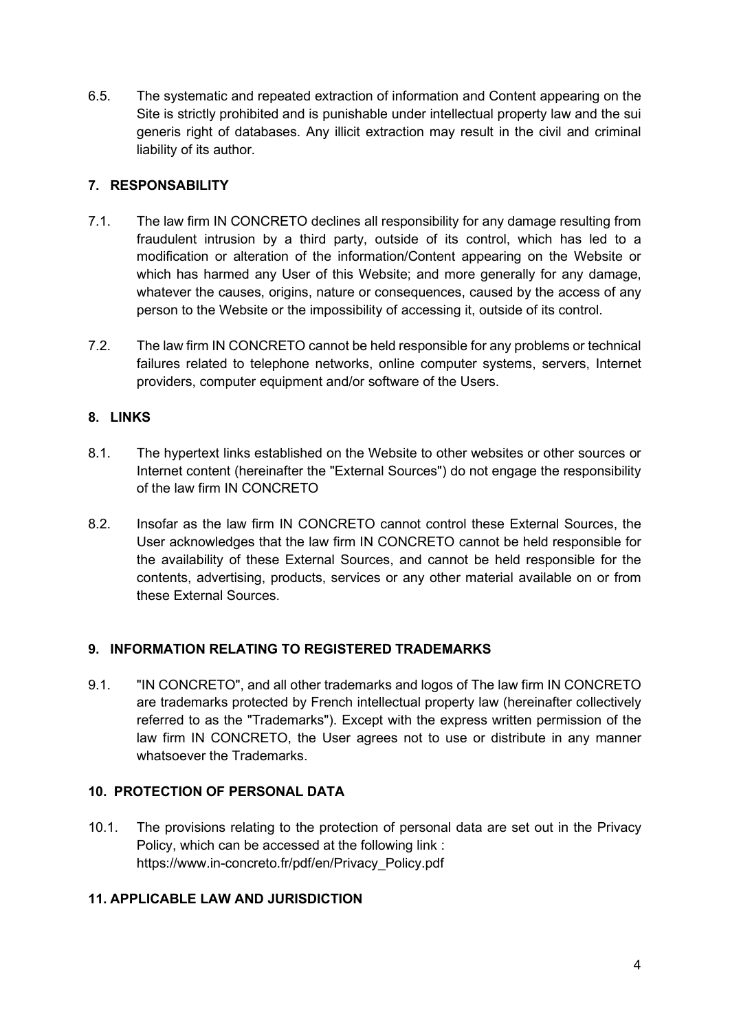6.5. The systematic and repeated extraction of information and Content appearing on the Site is strictly prohibited and is punishable under intellectual property law and the sui generis right of databases. Any illicit extraction may result in the civil and criminal liability of its author.

# **7. RESPONSABILITY**

- 7.1. The law firm IN CONCRETO declines all responsibility for any damage resulting from fraudulent intrusion by a third party, outside of its control, which has led to a modification or alteration of the information/Content appearing on the Website or which has harmed any User of this Website; and more generally for any damage, whatever the causes, origins, nature or consequences, caused by the access of any person to the Website or the impossibility of accessing it, outside of its control.
- 7.2. The law firm IN CONCRETO cannot be held responsible for any problems or technical failures related to telephone networks, online computer systems, servers, Internet providers, computer equipment and/or software of the Users.

# **8. LINKS**

- 8.1. The hypertext links established on the Website to other websites or other sources or Internet content (hereinafter the "External Sources") do not engage the responsibility of the law firm IN CONCRETO
- 8.2. Insofar as the law firm IN CONCRETO cannot control these External Sources, the User acknowledges that the law firm IN CONCRETO cannot be held responsible for the availability of these External Sources, and cannot be held responsible for the contents, advertising, products, services or any other material available on or from these External Sources.

### **9. INFORMATION RELATING TO REGISTERED TRADEMARKS**

9.1. "IN CONCRETO", and all other trademarks and logos of The law firm IN CONCRETO are trademarks protected by French intellectual property law (hereinafter collectively referred to as the "Trademarks"). Except with the express written permission of the law firm IN CONCRETO, the User agrees not to use or distribute in any manner whatsoever the Trademarks.

### **10. PROTECTION OF PERSONAL DATA**

10.1. The provisions relating to the protection of personal data are set out in the Privacy Policy, which can be accessed at the following link : https://www.in-concreto.fr/pdf/en/Privacy\_Policy.pdf

### **11. APPLICABLE LAW AND JURISDICTION**